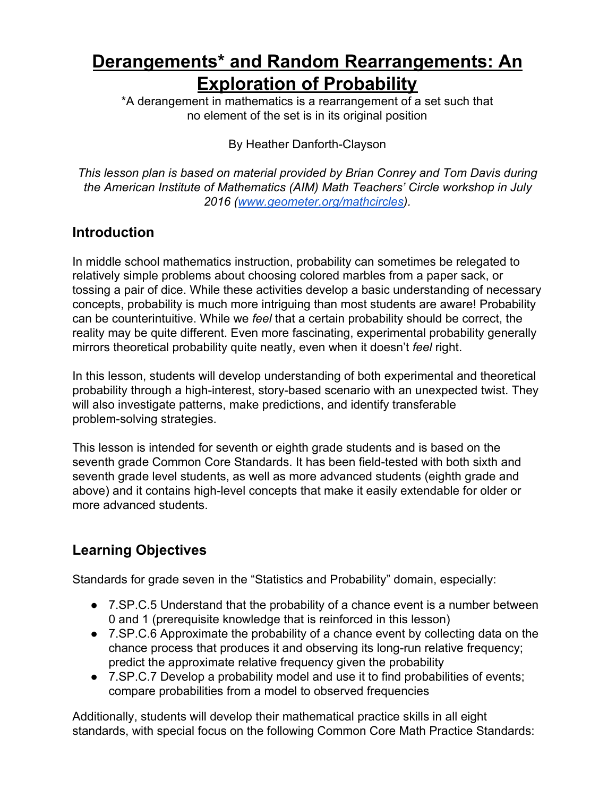# **Derangements\* and Random Rearrangements: An Exploration of Probability**

\*A derangement in mathematics is a rearrangement of a set such that no element of the set is in its original position

By Heather Danforth-Clayson

*This lesson plan is based on material provided by Brian Conrey and Tom Davis during the American Institute of Mathematics (AIM) Math Teachers' Circle workshop in July 2016 [\(www.geometer.org/mathcircles](http://www.geometer.org/mathcircles)).*

## **Introduction**

In middle school mathematics instruction, probability can sometimes be relegated to relatively simple problems about choosing colored marbles from a paper sack, or tossing a pair of dice. While these activities develop a basic understanding of necessary concepts, probability is much more intriguing than most students are aware! Probability can be counterintuitive. While we *feel* that a certain probability should be correct, the reality may be quite different. Even more fascinating, experimental probability generally mirrors theoretical probability quite neatly, even when it doesn't *feel* right.

In this lesson, students will develop understanding of both experimental and theoretical probability through a high-interest, story-based scenario with an unexpected twist. They will also investigate patterns, make predictions, and identify transferable problem-solving strategies.

This lesson is intended for seventh or eighth grade students and is based on the seventh grade Common Core Standards. It has been field-tested with both sixth and seventh grade level students, as well as more advanced students (eighth grade and above) and it contains high-level concepts that make it easily extendable for older or more advanced students.

# **Learning Objectives**

Standards for grade seven in the "Statistics and Probability" domain, especially:

- 7.SP.C.5 Understand that the probability of a chance event is a number between 0 and 1 (prerequisite knowledge that is reinforced in this lesson)
- 7.SP.C.6 Approximate the probability of a chance event by collecting data on the chance process that produces it and observing its long-run relative frequency; predict the approximate relative frequency given the probability
- 7.SP.C.7 Develop a probability model and use it to find probabilities of events; compare probabilities from a model to observed frequencies

Additionally, students will develop their mathematical practice skills in all eight standards, with special focus on the following Common Core Math Practice Standards: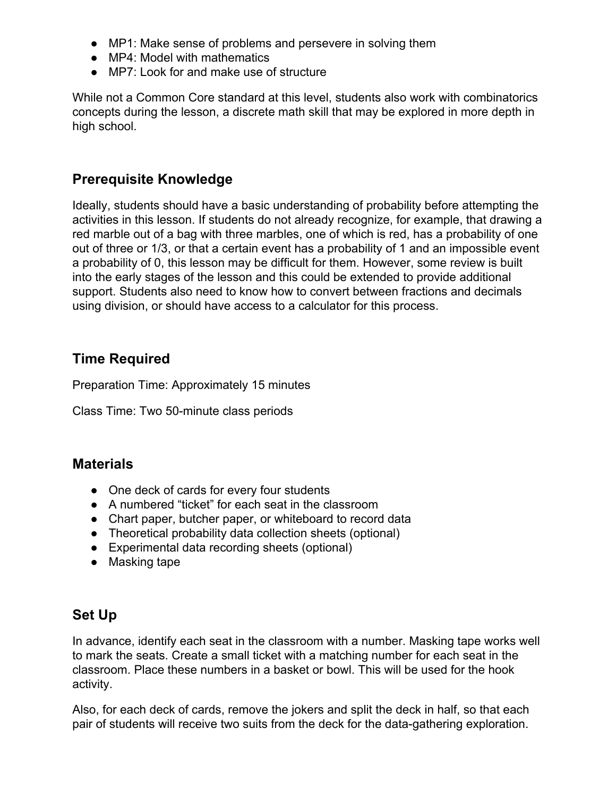- MP1: Make sense of problems and persevere in solving them
- MP4: Model with mathematics
- MP7: Look for and make use of structure

While not a Common Core standard at this level, students also work with combinatorics concepts during the lesson, a discrete math skill that may be explored in more depth in high school.

#### **Prerequisite Knowledge**

Ideally, students should have a basic understanding of probability before attempting the activities in this lesson. If students do not already recognize, for example, that drawing a red marble out of a bag with three marbles, one of which is red, has a probability of one out of three or 1/3, or that a certain event has a probability of 1 and an impossible event a probability of 0, this lesson may be difficult for them. However, some review is built into the early stages of the lesson and this could be extended to provide additional support. Students also need to know how to convert between fractions and decimals using division, or should have access to a calculator for this process.

#### **Time Required**

Preparation Time: Approximately 15 minutes

Class Time: Two 50-minute class periods

#### **Materials**

- One deck of cards for every four students
- A numbered "ticket" for each seat in the classroom
- Chart paper, butcher paper, or whiteboard to record data
- Theoretical probability data collection sheets (optional)
- Experimental data recording sheets (optional)
- Masking tape

#### **Set Up**

In advance, identify each seat in the classroom with a number. Masking tape works well to mark the seats. Create a small ticket with a matching number for each seat in the classroom. Place these numbers in a basket or bowl. This will be used for the hook activity.

Also, for each deck of cards, remove the jokers and split the deck in half, so that each pair of students will receive two suits from the deck for the data-gathering exploration.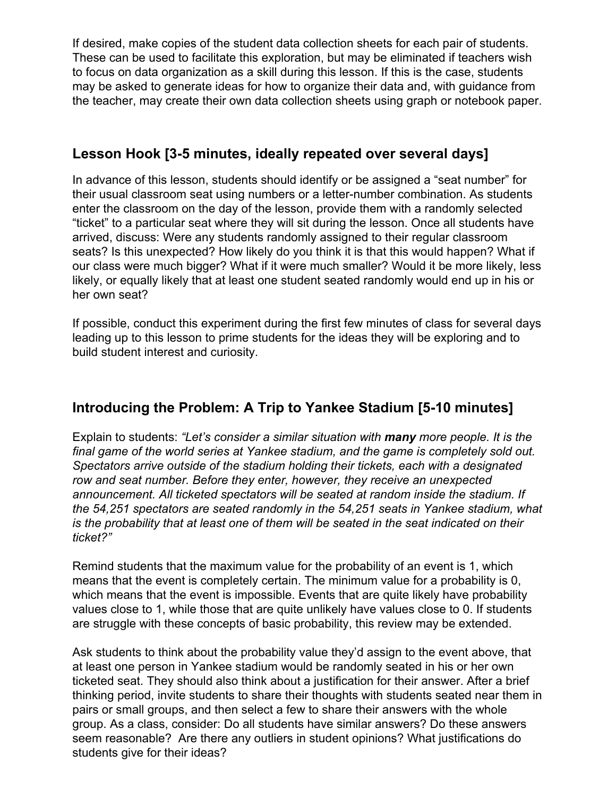If desired, make copies of the student data collection sheets for each pair of students. These can be used to facilitate this exploration, but may be eliminated if teachers wish to focus on data organization as a skill during this lesson. If this is the case, students may be asked to generate ideas for how to organize their data and, with guidance from the teacher, may create their own data collection sheets using graph or notebook paper.

#### **Lesson Hook [3-5 minutes, ideally repeated over several days]**

In advance of this lesson, students should identify or be assigned a "seat number" for their usual classroom seat using numbers or a letter-number combination. As students enter the classroom on the day of the lesson, provide them with a randomly selected "ticket" to a particular seat where they will sit during the lesson. Once all students have arrived, discuss: Were any students randomly assigned to their regular classroom seats? Is this unexpected? How likely do you think it is that this would happen? What if our class were much bigger? What if it were much smaller? Would it be more likely, less likely, or equally likely that at least one student seated randomly would end up in his or her own seat?

If possible, conduct this experiment during the first few minutes of class for several days leading up to this lesson to prime students for the ideas they will be exploring and to build student interest and curiosity.

## **Introducing the Problem: A Trip to Yankee Stadium [5-10 minutes]**

Explain to students: *"Let's consider a similar situation with many more people. It is the final game of the world series at Yankee stadium, and the game is completely sold out. Spectators arrive outside of the stadium holding their tickets, each with a designated row and seat number. Before they enter, however, they receive an unexpected announcement. All ticketed spectators will be seated at random inside the stadium. If the 54,251 spectators are seated randomly in the 54,251 seats in Yankee stadium, what is the probability that at least one of them will be seated in the seat indicated on their ticket?"*

Remind students that the maximum value for the probability of an event is 1, which means that the event is completely certain. The minimum value for a probability is 0, which means that the event is impossible. Events that are quite likely have probability values close to 1, while those that are quite unlikely have values close to 0. If students are struggle with these concepts of basic probability, this review may be extended.

Ask students to think about the probability value they'd assign to the event above, that at least one person in Yankee stadium would be randomly seated in his or her own ticketed seat. They should also think about a justification for their answer. After a brief thinking period, invite students to share their thoughts with students seated near them in pairs or small groups, and then select a few to share their answers with the whole group. As a class, consider: Do all students have similar answers? Do these answers seem reasonable? Are there any outliers in student opinions? What justifications do students give for their ideas?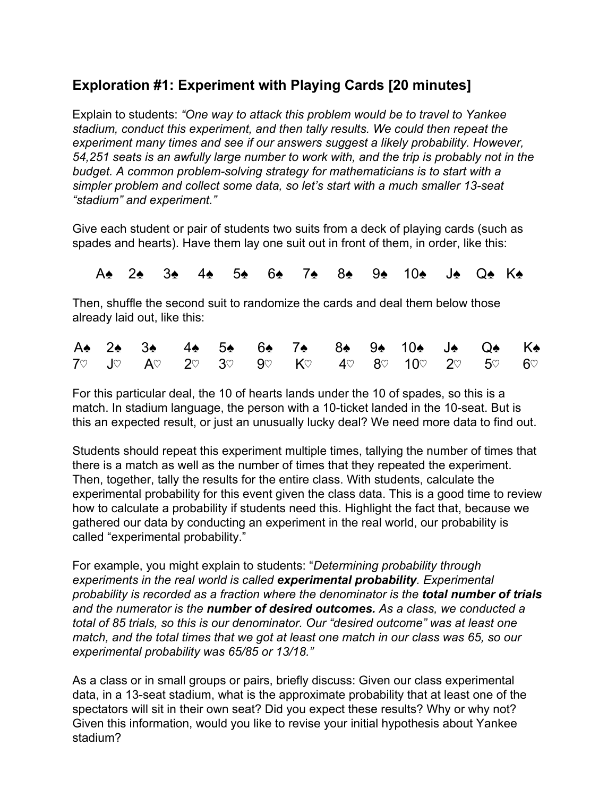## **Exploration #1: Experiment with Playing Cards [20 minutes]**

Explain to students: *"One way to attack this problem would be to travel to Yankee stadium, conduct this experiment, and then tally results. We could then repeat the experiment many times and see if our answers suggest a likely probability. However, 54,251 seats is an awfully large number to work with, and the trip is probably not in the budget. A common problem-solving strategy for mathematicians is to start with a simpler problem and collect some data, so let's start with a much smaller 13-seat "stadium" and experiment."*

Give each student or pair of students two suits from a deck of playing cards (such as spades and hearts). Have them lay one suit out in front of them, in order, like this:

A♠ 2♠ 3♠ 4♠ 5♠ 6♠ 7♠ 8♠ 9♠ 10♠ J♠ Q♠ K♠

Then, shuffle the second suit to randomize the cards and deal them below those already laid out, like this:

|  |  |  | A 2 2 3 4 4 5 6 6 7 8 8 9 10 10 1 9 6 K |  |  |  |
|--|--|--|-----------------------------------------|--|--|--|
|  |  |  | 70 Jo Ao 2o 3o 9o Ko 4o 8o 10o 2o 5o 6o |  |  |  |

For this particular deal, the 10 of hearts lands under the 10 of spades, so this is a match. In stadium language, the person with a 10-ticket landed in the 10-seat. But is this an expected result, or just an unusually lucky deal? We need more data to find out.

Students should repeat this experiment multiple times, tallying the number of times that there is a match as well as the number of times that they repeated the experiment. Then, together, tally the results for the entire class. With students, calculate the experimental probability for this event given the class data. This is a good time to review how to calculate a probability if students need this. Highlight the fact that, because we gathered our data by conducting an experiment in the real world, our probability is called "experimental probability."

For example, you might explain to students: "*Determining probability through experiments in the real world is called experimental probability. Experimental probability is recorded as a fraction where the denominator is the total number of trials and the numerator is the number of desired outcomes. As a class, we conducted a total of 85 trials, so this is our denominator. Our "desired outcome" was at least one match, and the total times that we got at least one match in our class was 65, so our experimental probability was 65/85 or 13/18."*

As a class or in small groups or pairs, briefly discuss: Given our class experimental data, in a 13-seat stadium, what is the approximate probability that at least one of the spectators will sit in their own seat? Did you expect these results? Why or why not? Given this information, would you like to revise your initial hypothesis about Yankee stadium?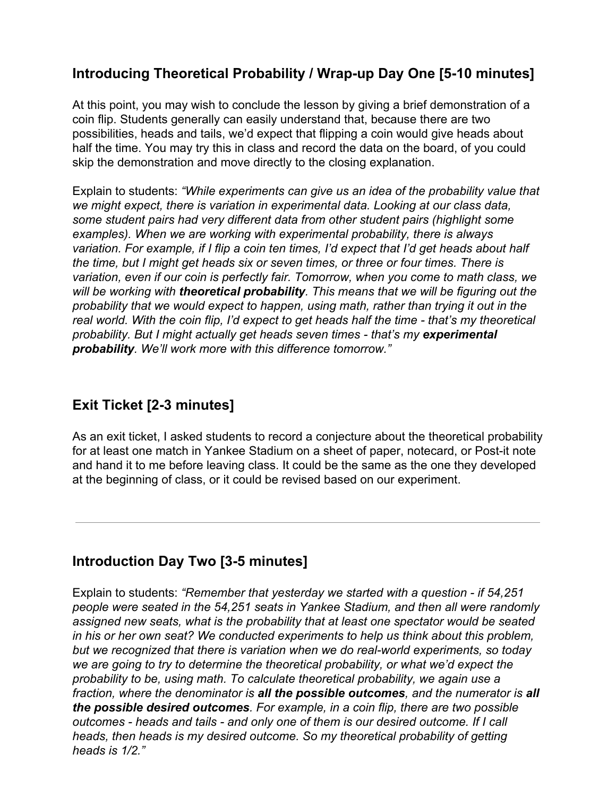## **Introducing Theoretical Probability / Wrap-up Day One [5-10 minutes]**

At this point, you may wish to conclude the lesson by giving a brief demonstration of a coin flip. Students generally can easily understand that, because there are two possibilities, heads and tails, we'd expect that flipping a coin would give heads about half the time. You may try this in class and record the data on the board, of you could skip the demonstration and move directly to the closing explanation.

Explain to students: *"While experiments can give us an idea of the probability value that we might expect, there is variation in experimental data. Looking at our class data, some student pairs had very different data from other student pairs (highlight some examples). When we are working with experimental probability, there is always variation. For example, if I flip a coin ten times, I'd expect that I'd get heads about half the time, but I might get heads six or seven times, or three or four times. There is variation, even if our coin is perfectly fair. Tomorrow, when you come to math class, we will be working with theoretical probability. This means that we will be figuring out the probability that we would expect to happen, using math, rather than trying it out in the real world. With the coin flip, I'd expect to get heads half the time - that's my theoretical probability. But I might actually get heads seven times - that's my experimental probability. We'll work more with this difference tomorrow."*

#### **Exit Ticket [2-3 minutes]**

As an exit ticket, I asked students to record a conjecture about the theoretical probability for at least one match in Yankee Stadium on a sheet of paper, notecard, or Post-it note and hand it to me before leaving class. It could be the same as the one they developed at the beginning of class, or it could be revised based on our experiment.

## **Introduction Day Two [3-5 minutes]**

Explain to students: *"Remember that yesterday we started with a question - if 54,251 people were seated in the 54,251 seats in Yankee Stadium, and then all were randomly assigned new seats, what is the probability that at least one spectator would be seated in his or her own seat? We conducted experiments to help us think about this problem, but we recognized that there is variation when we do real-world experiments, so today we are going to try to determine the theoretical probability, or what we'd expect the probability to be, using math. To calculate theoretical probability, we again use a fraction, where the denominator is all the possible outcomes, and the numerator is all the possible desired outcomes. For example, in a coin flip, there are two possible outcomes - heads and tails - and only one of them is our desired outcome. If I call heads, then heads is my desired outcome. So my theoretical probability of getting heads is 1/2."*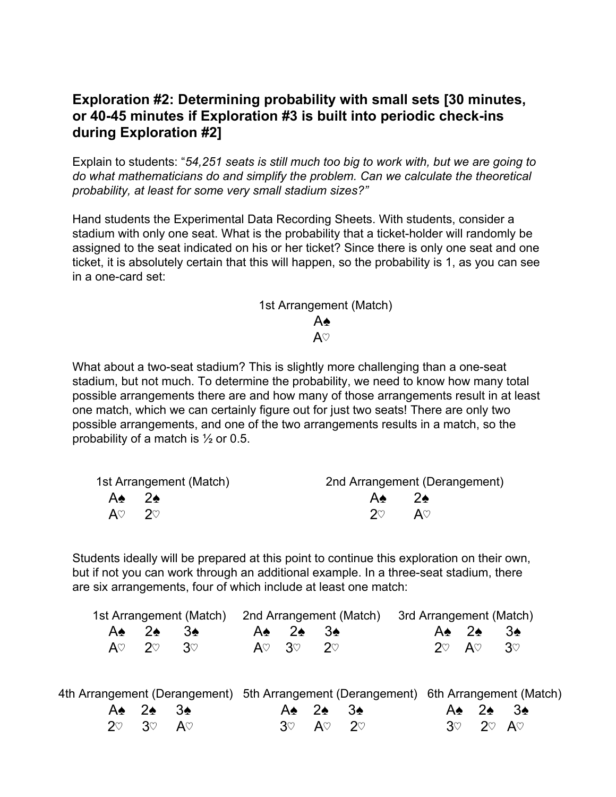#### **Exploration #2: Determining probability with small sets [30 minutes, or 40-45 minutes if Exploration #3 is built into periodic check-ins during Exploration #2]**

Explain to students: "*54,251 seats is still much too big to work with, but we are going to do what mathematicians do and simplify the problem. Can we calculate the theoretical probability, at least for some very small stadium sizes?"*

Hand students the Experimental Data Recording Sheets. With students, consider a stadium with only one seat. What is the probability that a ticket-holder will randomly be assigned to the seat indicated on his or her ticket? Since there is only one seat and one ticket, it is absolutely certain that this will happen, so the probability is 1, as you can see in a one-card set:

#### 1st Arrangement (Match)

#### A♠

#### $A\heartsuit$

What about a two-seat stadium? This is slightly more challenging than a one-seat stadium, but not much. To determine the probability, we need to know how many total possible arrangements there are and how many of those arrangements result in at least one match, which we can certainly figure out for just two seats! There are only two possible arrangements, and one of the two arrangements results in a match, so the probability of a match is ½ or 0.5.

| 1st Arrangement (Match)      |              | 2nd Arrangement (Derangement) |
|------------------------------|--------------|-------------------------------|
| A* 2*                        | A* 2*        |                               |
| $A\heartsuit$ 2 $\heartsuit$ | $20^{\circ}$ | $A\heartsuit$                 |

Students ideally will be prepared at this point to continue this exploration on their own, but if not you can work through an additional example. In a three-seat stadium, there are six arrangements, four of which include at least one match:

|  |  |                                                      | 1st Arrangement (Match) 2nd Arrangement (Match) 3rd Arrangement (Match) |          |                      |                                 |                                 |  |
|--|--|------------------------------------------------------|-------------------------------------------------------------------------|----------|----------------------|---------------------------------|---------------------------------|--|
|  |  | $A$ $\bullet$ 2 $\bullet$ 3 $\bullet$                |                                                                         |          | A <del>t</del> 2. 3. | $A \bullet 2 \bullet 3 \bullet$ |                                 |  |
|  |  | $\mathsf{A}\heartsuit$ 2 $\heartsuit$ 3 $\heartsuit$ |                                                                         | AV 3V 2V |                      |                                 | $2^\circ$ A $^\circ$ 3 $^\circ$ |  |

|                        |                                 |                                           |                               | 4th Arrangement (Derangement) 5th Arrangement (Derangement) 6th Arrangement (Match) |                                       |  |  |
|------------------------|---------------------------------|-------------------------------------------|-------------------------------|-------------------------------------------------------------------------------------|---------------------------------------|--|--|
| $A\cdot 2\cdot 3\cdot$ |                                 | $A$ $\bullet$ $2$ $\bullet$ $3$ $\bullet$ |                               |                                                                                     | $A$ $\bullet$ 2 $\bullet$ 3 $\bullet$ |  |  |
|                        | $2^\circ$ 3 $^\circ$ A $^\circ$ |                                           | $3^\circ$ $A^\circ$ $2^\circ$ |                                                                                     | $3^\circ$ 2 $^\circ$ A $^\circ$       |  |  |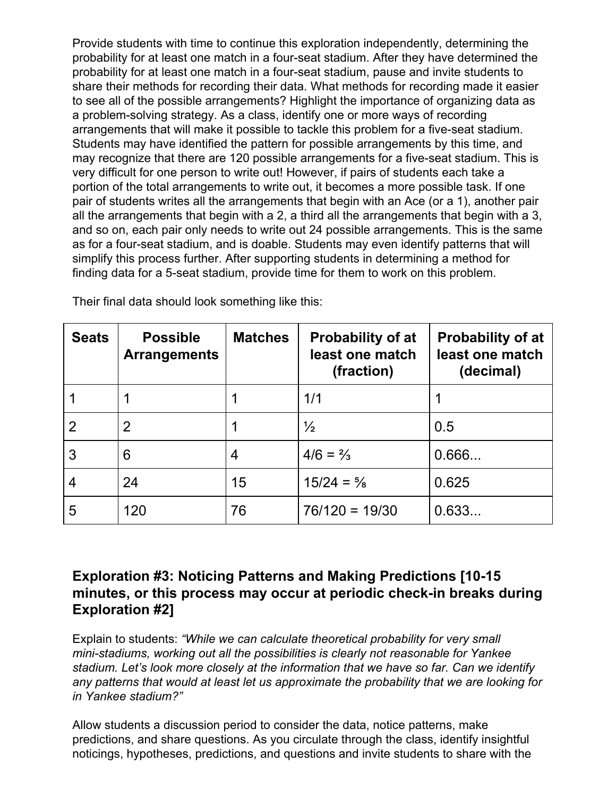Provide students with time to continue this exploration independently, determining the probability for at least one match in a four-seat stadium. After they have determined the probability for at least one match in a four-seat stadium, pause and invite students to share their methods for recording their data. What methods for recording made it easier to see all of the possible arrangements? Highlight the importance of organizing data as a problem-solving strategy. As a class, identify one or more ways of recording arrangements that will make it possible to tackle this problem for a five-seat stadium. Students may have identified the pattern for possible arrangements by this time, and may recognize that there are 120 possible arrangements for a five-seat stadium. This is very difficult for one person to write out! However, if pairs of students each take a portion of the total arrangements to write out, it becomes a more possible task. If one pair of students writes all the arrangements that begin with an Ace (or a 1), another pair all the arrangements that begin with a 2, a third all the arrangements that begin with a 3, and so on, each pair only needs to write out 24 possible arrangements. This is the same as for a four-seat stadium, and is doable. Students may even identify patterns that will simplify this process further. After supporting students in determining a method for finding data for a 5-seat stadium, provide time for them to work on this problem.

| <b>Seats</b>   | <b>Possible</b><br><b>Arrangements</b> | <b>Matches</b> | <b>Probability of at</b><br>least one match<br>(fraction) | <b>Probability of at</b><br>least one match<br>(decimal) |
|----------------|----------------------------------------|----------------|-----------------------------------------------------------|----------------------------------------------------------|
|                |                                        |                | 1/1                                                       |                                                          |
| $\overline{2}$ | $\overline{2}$                         |                | $\frac{1}{2}$                                             | 0.5                                                      |
| 3              | 6                                      | 4              | $4/6 = \frac{2}{3}$                                       | 0.666                                                    |
| 4              | 24                                     | 15             | $15/24 = \frac{5}{8}$                                     | 0.625                                                    |
| 5              | 120                                    | 76             | $76/120 = 19/30$                                          | 0.633                                                    |

Their final data should look something like this:

#### **Exploration #3: Noticing Patterns and Making Predictions [10-15 minutes, or this process may occur at periodic check-in breaks during Exploration #2]**

Explain to students: *"While we can calculate theoretical probability for very small mini-stadiums, working out all the possibilities is clearly not reasonable for Yankee stadium. Let's look more closely at the information that we have so far. Can we identify any patterns that would at least let us approximate the probability that we are looking for in Yankee stadium?"*

Allow students a discussion period to consider the data, notice patterns, make predictions, and share questions. As you circulate through the class, identify insightful noticings, hypotheses, predictions, and questions and invite students to share with the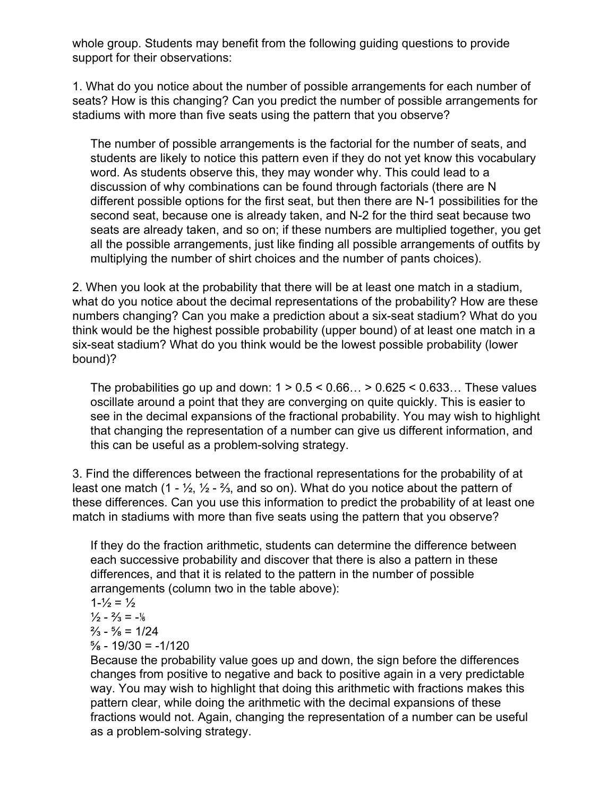whole group. Students may benefit from the following guiding questions to provide support for their observations:

1. What do you notice about the number of possible arrangements for each number of seats? How is this changing? Can you predict the number of possible arrangements for stadiums with more than five seats using the pattern that you observe?

The number of possible arrangements is the factorial for the number of seats, and students are likely to notice this pattern even if they do not yet know this vocabulary word. As students observe this, they may wonder why. This could lead to a discussion of why combinations can be found through factorials (there are N different possible options for the first seat, but then there are N-1 possibilities for the second seat, because one is already taken, and N-2 for the third seat because two seats are already taken, and so on; if these numbers are multiplied together, you get all the possible arrangements, just like finding all possible arrangements of outfits by multiplying the number of shirt choices and the number of pants choices).

2. When you look at the probability that there will be at least one match in a stadium, what do you notice about the decimal representations of the probability? How are these numbers changing? Can you make a prediction about a six-seat stadium? What do you think would be the highest possible probability (upper bound) of at least one match in a six-seat stadium? What do you think would be the lowest possible probability (lower bound)?

The probabilities go up and down:  $1 > 0.5 < 0.66... > 0.625 < 0.633...$  These values oscillate around a point that they are converging on quite quickly. This is easier to see in the decimal expansions of the fractional probability. You may wish to highlight that changing the representation of a number can give us different information, and this can be useful as a problem-solving strategy.

3. Find the differences between the fractional representations for the probability of at least one match (1 -  $\frac{1}{2}$ ,  $\frac{1}{2}$  -  $\frac{2}{3}$ , and so on). What do you notice about the pattern of these differences. Can you use this information to predict the probability of at least one match in stadiums with more than five seats using the pattern that you observe?

If they do the fraction arithmetic, students can determine the difference between each successive probability and discover that there is also a pattern in these differences, and that it is related to the pattern in the number of possible arrangements (column two in the table above):

 $1 - \frac{1}{2} = \frac{1}{2}$ 

 $\frac{1}{2} - \frac{2}{3} = -\frac{1}{6}$ 

 $\frac{2}{3} - \frac{5}{8} = \frac{1}{24}$ 

 $\frac{5}{8}$  - 19/30 = -1/120

Because the probability value goes up and down, the sign before the differences changes from positive to negative and back to positive again in a very predictable way. You may wish to highlight that doing this arithmetic with fractions makes this pattern clear, while doing the arithmetic with the decimal expansions of these fractions would not. Again, changing the representation of a number can be useful as a problem-solving strategy.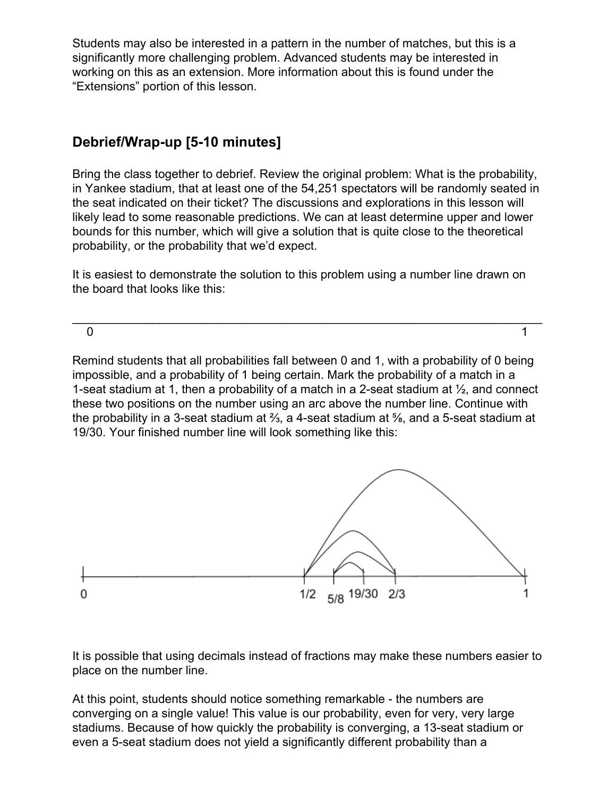Students may also be interested in a pattern in the number of matches, but this is a significantly more challenging problem. Advanced students may be interested in working on this as an extension. More information about this is found under the "Extensions" portion of this lesson.

#### **Debrief/Wrap-up [5-10 minutes]**

Bring the class together to debrief. Review the original problem: What is the probability, in Yankee stadium, that at least one of the 54,251 spectators will be randomly seated in the seat indicated on their ticket? The discussions and explorations in this lesson will likely lead to some reasonable predictions. We can at least determine upper and lower bounds for this number, which will give a solution that is quite close to the theoretical probability, or the probability that we'd expect.

It is easiest to demonstrate the solution to this problem using a number line drawn on the board that looks like this:

\_\_\_\_\_\_\_\_\_\_\_\_\_\_\_\_\_\_\_\_\_\_\_\_\_\_\_\_\_\_\_\_\_\_\_\_\_\_\_\_\_\_\_\_\_\_\_\_\_\_\_\_\_\_\_\_\_\_\_\_\_\_\_\_\_\_\_\_\_\_

 $\sim$  1

Remind students that all probabilities fall between 0 and 1, with a probability of 0 being impossible, and a probability of 1 being certain. Mark the probability of a match in a 1-seat stadium at 1, then a probability of a match in a 2-seat stadium at  $\frac{1}{2}$ , and connect these two positions on the number using an arc above the number line. Continue with the probability in a 3-seat stadium at ⅔, a 4-seat stadium at ⅝, and a 5-seat stadium at 19/30. Your finished number line will look something like this:



It is possible that using decimals instead of fractions may make these numbers easier to place on the number line.

At this point, students should notice something remarkable - the numbers are converging on a single value! This value is our probability, even for very, very large stadiums. Because of how quickly the probability is converging, a 13-seat stadium or even a 5-seat stadium does not yield a significantly different probability than a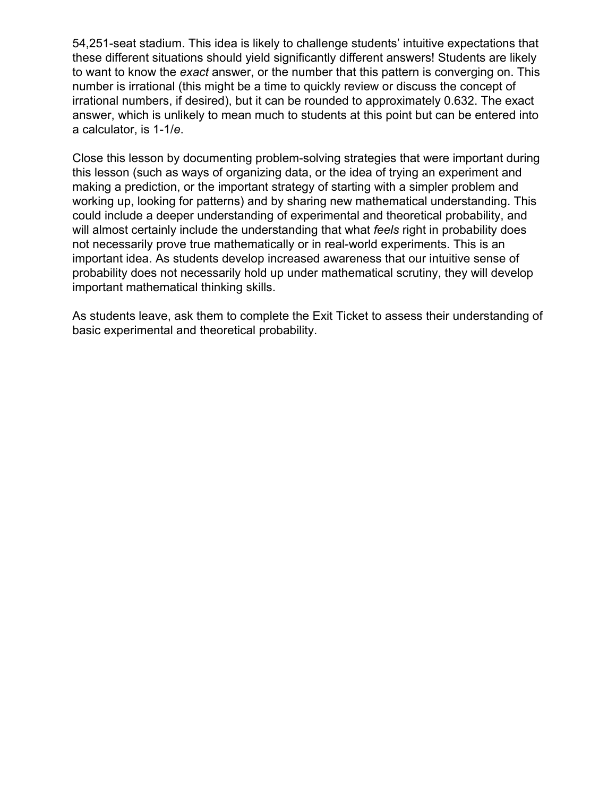54,251-seat stadium. This idea is likely to challenge students' intuitive expectations that these different situations should yield significantly different answers! Students are likely to want to know the *exact* answer, or the number that this pattern is converging on. This number is irrational (this might be a time to quickly review or discuss the concept of irrational numbers, if desired), but it can be rounded to approximately 0.632. The exact answer, which is unlikely to mean much to students at this point but can be entered into a calculator, is 1-1/*e*.

Close this lesson by documenting problem-solving strategies that were important during this lesson (such as ways of organizing data, or the idea of trying an experiment and making a prediction, or the important strategy of starting with a simpler problem and working up, looking for patterns) and by sharing new mathematical understanding. This could include a deeper understanding of experimental and theoretical probability, and will almost certainly include the understanding that what *feels* right in probability does not necessarily prove true mathematically or in real-world experiments. This is an important idea. As students develop increased awareness that our intuitive sense of probability does not necessarily hold up under mathematical scrutiny, they will develop important mathematical thinking skills.

As students leave, ask them to complete the Exit Ticket to assess their understanding of basic experimental and theoretical probability.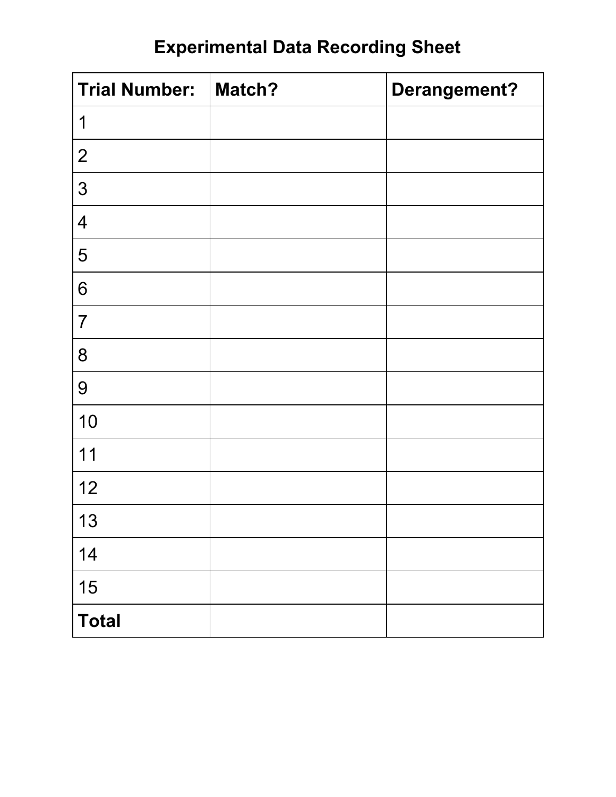# **Experimental Data Recording Sheet**

| <b>Trial Number:</b> | Match? | Derangement? |
|----------------------|--------|--------------|
| 1                    |        |              |
| $\overline{2}$       |        |              |
| 3                    |        |              |
| $\overline{4}$       |        |              |
| 5                    |        |              |
| 6                    |        |              |
| $\overline{7}$       |        |              |
| 8                    |        |              |
| 9                    |        |              |
| 10                   |        |              |
| 11                   |        |              |
| 12                   |        |              |
| 13                   |        |              |
| 14                   |        |              |
| 15                   |        |              |
| <b>Total</b>         |        |              |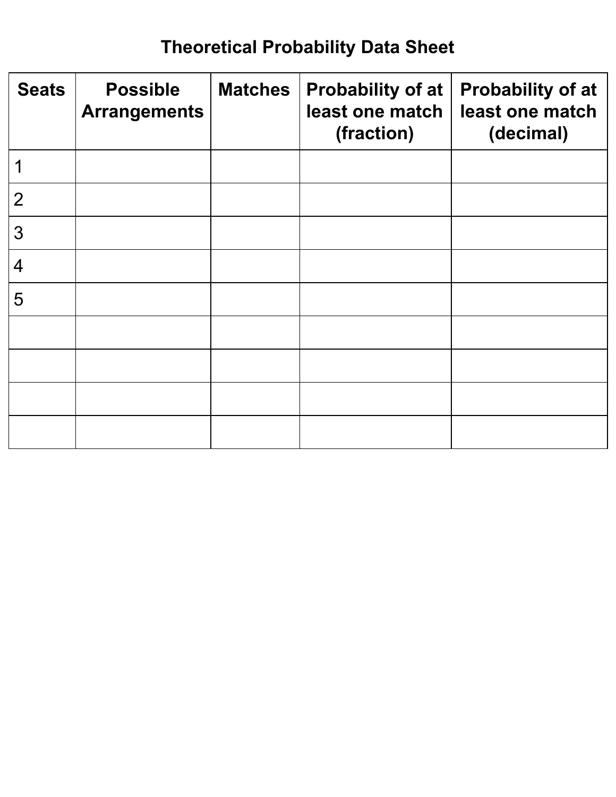# **Theoretical Probability Data Sheet**

| <b>Seats</b>   | <b>Possible</b><br><b>Arrangements</b> | <b>Matches</b> | Probability of at<br>least one match<br>(fraction) | <b>Probability of at</b><br>least one match<br>(decimal) |
|----------------|----------------------------------------|----------------|----------------------------------------------------|----------------------------------------------------------|
|                |                                        |                |                                                    |                                                          |
| $\overline{2}$ |                                        |                |                                                    |                                                          |
| 3              |                                        |                |                                                    |                                                          |
| $\overline{4}$ |                                        |                |                                                    |                                                          |
| 5              |                                        |                |                                                    |                                                          |
|                |                                        |                |                                                    |                                                          |
|                |                                        |                |                                                    |                                                          |
|                |                                        |                |                                                    |                                                          |
|                |                                        |                |                                                    |                                                          |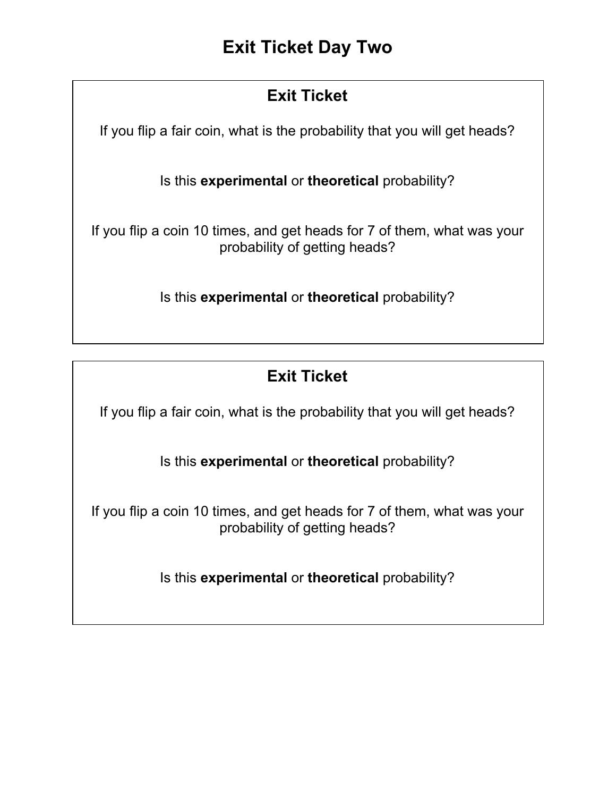# **Exit Ticket**

If you flip a fair coin, what is the probability that you will get heads?

Is this **experimental** or **theoretical** probability?

If you flip a coin 10 times, and get heads for 7 of them, what was your probability of getting heads?

Is this **experimental** or **theoretical** probability?

# **Exit Ticket**

If you flip a fair coin, what is the probability that you will get heads?

Is this **experimental** or **theoretical** probability?

If you flip a coin 10 times, and get heads for 7 of them, what was your probability of getting heads?

Is this **experimental** or **theoretical** probability?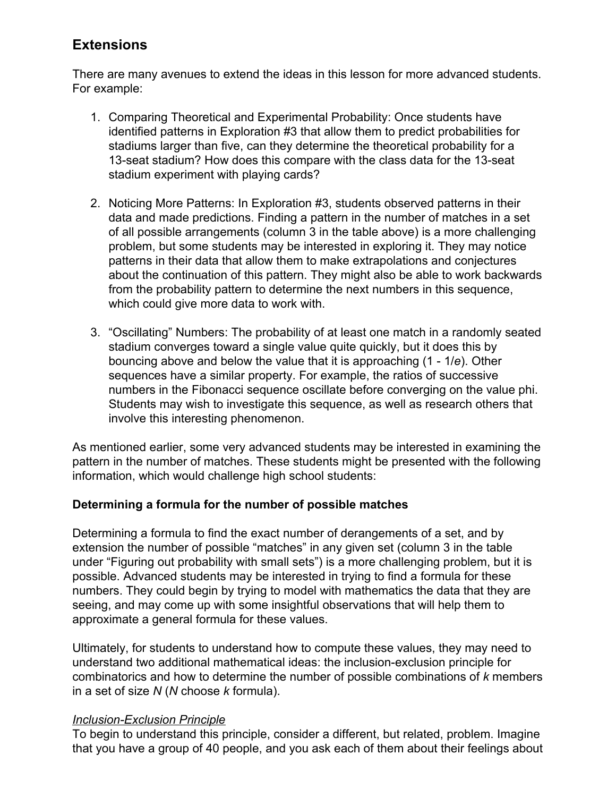#### **Extensions**

There are many avenues to extend the ideas in this lesson for more advanced students. For example:

- 1. Comparing Theoretical and Experimental Probability: Once students have identified patterns in Exploration #3 that allow them to predict probabilities for stadiums larger than five, can they determine the theoretical probability for a 13-seat stadium? How does this compare with the class data for the 13-seat stadium experiment with playing cards?
- 2. Noticing More Patterns: In Exploration #3, students observed patterns in their data and made predictions. Finding a pattern in the number of matches in a set of all possible arrangements (column 3 in the table above) is a more challenging problem, but some students may be interested in exploring it. They may notice patterns in their data that allow them to make extrapolations and conjectures about the continuation of this pattern. They might also be able to work backwards from the probability pattern to determine the next numbers in this sequence, which could give more data to work with.
- 3. "Oscillating" Numbers: The probability of at least one match in a randomly seated stadium converges toward a single value quite quickly, but it does this by bouncing above and below the value that it is approaching (1 - 1/*e*). Other sequences have a similar property. For example, the ratios of successive numbers in the Fibonacci sequence oscillate before converging on the value phi. Students may wish to investigate this sequence, as well as research others that involve this interesting phenomenon.

As mentioned earlier, some very advanced students may be interested in examining the pattern in the number of matches. These students might be presented with the following information, which would challenge high school students:

#### **Determining a formula for the number of possible matches**

Determining a formula to find the exact number of derangements of a set, and by extension the number of possible "matches" in any given set (column 3 in the table under "Figuring out probability with small sets") is a more challenging problem, but it is possible. Advanced students may be interested in trying to find a formula for these numbers. They could begin by trying to model with mathematics the data that they are seeing, and may come up with some insightful observations that will help them to approximate a general formula for these values.

Ultimately, for students to understand how to compute these values, they may need to understand two additional mathematical ideas: the inclusion-exclusion principle for combinatorics and how to determine the number of possible combinations of *k* members in a set of size *N* (*N* choose *k* formula).

#### *Inclusion-Exclusion Principle*

To begin to understand this principle, consider a different, but related, problem. Imagine that you have a group of 40 people, and you ask each of them about their feelings about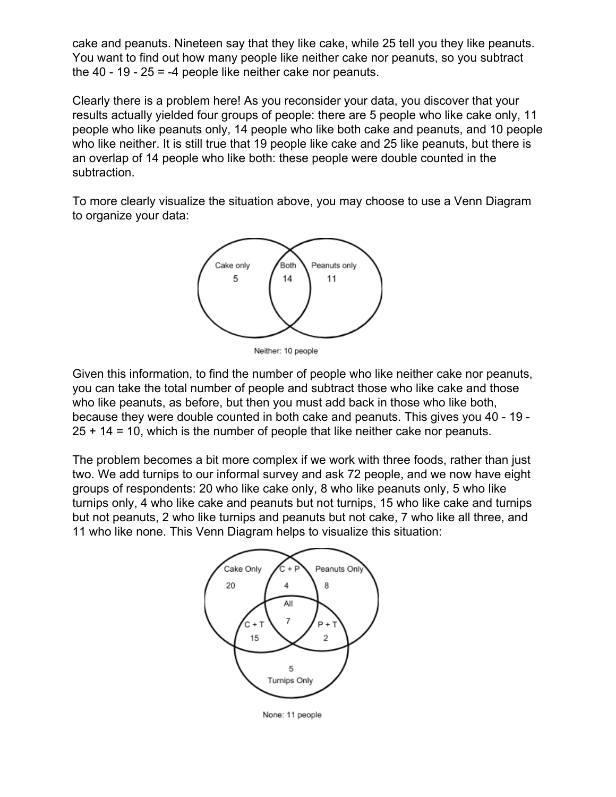cake and peanuts. Nineteen say that they like cake, while 25 tell you they like peanuts. You want to find out how many people like neither cake nor peanuts, so you subtract the  $40 - 19 - 25 = -4$  people like neither cake nor peanuts.

Clearly there is a problem here! As you reconsider your data, you discover that your results actually yielded four groups of people: there are 5 people who like cake only, 11 people who like peanuts only, 14 people who like both cake and peanuts, and 10 people who like neither. It is still true that 19 people like cake and 25 like peanuts, but there is an overlap of 14 people who like both: these people were double counted in the subtraction.

To more clearly visualize the situation above, you may choose to use a Venn Diagram to organize your data:



Neither: 10 people

Given this information, to find the number of people who like neither cake nor peanuts, you can take the total number of people and subtract those who like cake and those who like peanuts, as before, but then you must add back in those who like both, because they were double counted in both cake and peanuts. This gives you 40 - 19 - 25 + 14 = 10, which is the number of people that like neither cake nor peanuts.

The problem becomes a bit more complex if we work with three foods, rather than just two. We add turnips to our informal survey and ask 72 people, and we now have eight groups of respondents: 20 who like cake only, 8 who like peanuts only, 5 who like turnips only, 4 who like cake and peanuts but not turnips, 15 who like cake and turnips but not peanuts, 2 who like turnips and peanuts but not cake, 7 who like all three, and 11 who like none. This Venn Diagram helps to visualize this situation:



None: 11 people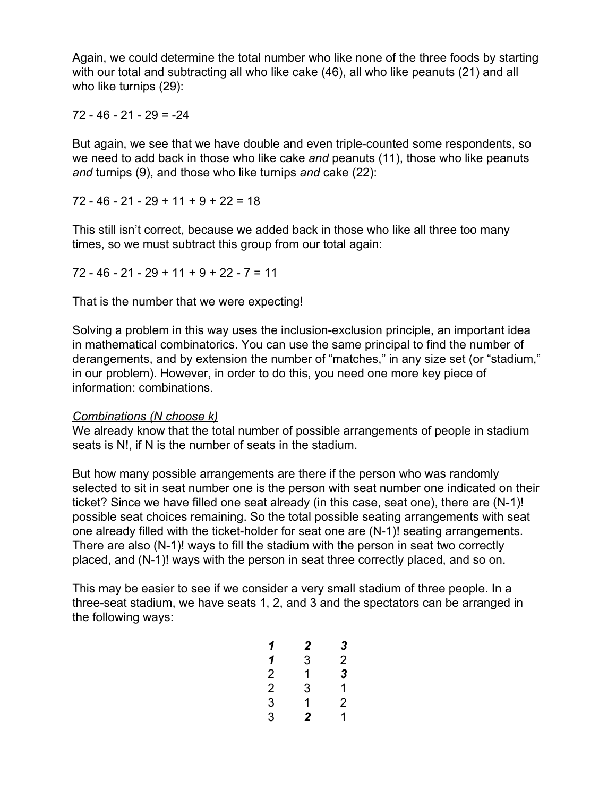Again, we could determine the total number who like none of the three foods by starting with our total and subtracting all who like cake (46), all who like peanuts (21) and all who like turnips (29):

#### 72 - 46 - 21 - 29 = -24

But again, we see that we have double and even triple-counted some respondents, so we need to add back in those who like cake *and* peanuts (11), those who like peanuts *and* turnips (9), and those who like turnips *and* cake (22):

 $72 - 46 - 21 - 29 + 11 + 9 + 22 = 18$ 

This still isn't correct, because we added back in those who like all three too many times, so we must subtract this group from our total again:

 $72 - 46 - 21 - 29 + 11 + 9 + 22 - 7 = 11$ 

That is the number that we were expecting!

Solving a problem in this way uses the inclusion-exclusion principle, an important idea in mathematical combinatorics. You can use the same principal to find the number of derangements, and by extension the number of "matches," in any size set (or "stadium," in our problem). However, in order to do this, you need one more key piece of information: combinations.

#### *Combinations (N choose k)*

We already know that the total number of possible arrangements of people in stadium seats is N!, if N is the number of seats in the stadium.

But how many possible arrangements are there if the person who was randomly selected to sit in seat number one is the person with seat number one indicated on their ticket? Since we have filled one seat already (in this case, seat one), there are (N-1)! possible seat choices remaining. So the total possible seating arrangements with seat one already filled with the ticket-holder for seat one are (N-1)! seating arrangements. There are also (N-1)! ways to fill the stadium with the person in seat two correctly placed, and (N-1)! ways with the person in seat three correctly placed, and so on.

This may be easier to see if we consider a very small stadium of three people. In a three-seat stadium, we have seats 1, 2, and 3 and the spectators can be arranged in the following ways:

| 1 | 2              | 3 |
|---|----------------|---|
| 1 | 3              | 2 |
| 2 | 1              | 3 |
| 2 | 3              | 1 |
| 3 | 1              | 2 |
| 3 | $\overline{2}$ | 1 |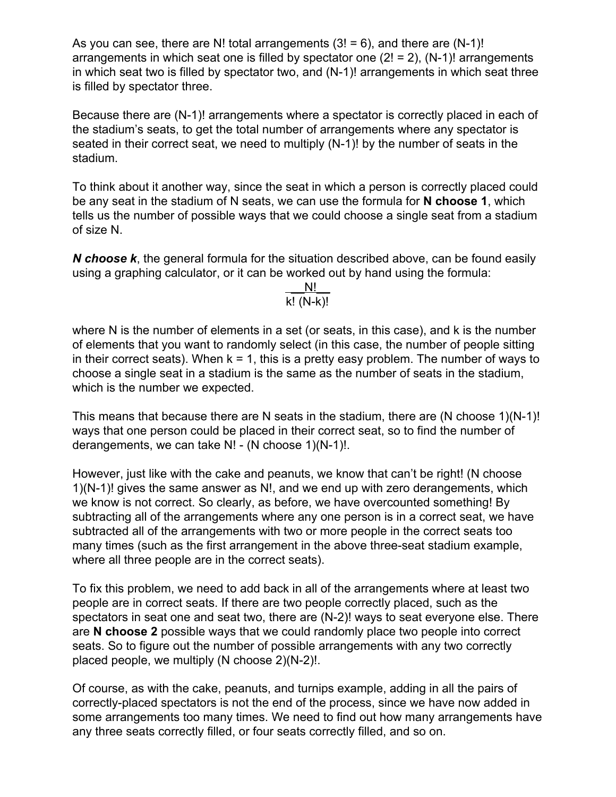As you can see, there are N! total arrangements  $(3! = 6)$ , and there are  $(N-1)!$ arrangements in which seat one is filled by spectator one  $(2! = 2)$ ,  $(N-1)!$  arrangements in which seat two is filled by spectator two, and (N-1)! arrangements in which seat three is filled by spectator three.

Because there are (N-1)! arrangements where a spectator is correctly placed in each of the stadium's seats, to get the total number of arrangements where any spectator is seated in their correct seat, we need to multiply (N-1)! by the number of seats in the stadium.

To think about it another way, since the seat in which a person is correctly placed could be any seat in the stadium of N seats, we can use the formula for **N choose 1**, which tells us the number of possible ways that we could choose a single seat from a stadium of size N.

*N choose k*, the general formula for the situation described above, can be found easily using a graphing calculator, or it can be worked out by hand using the formula:

> \_\_N!\_\_  $k!$   $(N-k)!$

where N is the number of elements in a set (or seats, in this case), and k is the number of elements that you want to randomly select (in this case, the number of people sitting in their correct seats). When  $k = 1$ , this is a pretty easy problem. The number of ways to choose a single seat in a stadium is the same as the number of seats in the stadium, which is the number we expected.

This means that because there are N seats in the stadium, there are (N choose 1)(N-1)! ways that one person could be placed in their correct seat, so to find the number of derangements, we can take N! - (N choose 1)(N-1)!.

However, just like with the cake and peanuts, we know that can't be right! (N choose 1)(N-1)! gives the same answer as N!, and we end up with zero derangements, which we know is not correct. So clearly, as before, we have overcounted something! By subtracting all of the arrangements where any one person is in a correct seat, we have subtracted all of the arrangements with two or more people in the correct seats too many times (such as the first arrangement in the above three-seat stadium example, where all three people are in the correct seats).

To fix this problem, we need to add back in all of the arrangements where at least two people are in correct seats. If there are two people correctly placed, such as the spectators in seat one and seat two, there are (N-2)! ways to seat everyone else. There are **N choose 2** possible ways that we could randomly place two people into correct seats. So to figure out the number of possible arrangements with any two correctly placed people, we multiply (N choose 2)(N-2)!.

Of course, as with the cake, peanuts, and turnips example, adding in all the pairs of correctly-placed spectators is not the end of the process, since we have now added in some arrangements too many times. We need to find out how many arrangements have any three seats correctly filled, or four seats correctly filled, and so on.